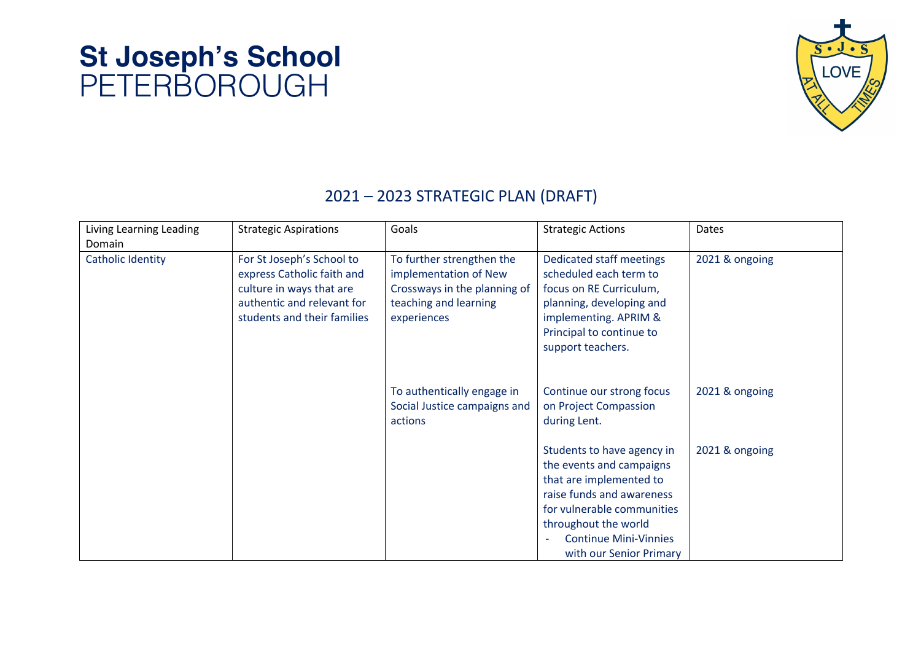

#### 2021 – 2023 STRATEGIC PLAN (DRAFT)

|                         |                                                                                                                                                  | Goals                                                                                                                      |                                                                                                                                                                                                                                 | Dates          |
|-------------------------|--------------------------------------------------------------------------------------------------------------------------------------------------|----------------------------------------------------------------------------------------------------------------------------|---------------------------------------------------------------------------------------------------------------------------------------------------------------------------------------------------------------------------------|----------------|
| Living Learning Leading | <b>Strategic Aspirations</b>                                                                                                                     |                                                                                                                            | <b>Strategic Actions</b>                                                                                                                                                                                                        |                |
| Domain                  |                                                                                                                                                  |                                                                                                                            |                                                                                                                                                                                                                                 |                |
| Catholic Identity       | For St Joseph's School to<br>express Catholic faith and<br>culture in ways that are<br>authentic and relevant for<br>students and their families | To further strengthen the<br>implementation of New<br>Crossways in the planning of<br>teaching and learning<br>experiences | Dedicated staff meetings<br>scheduled each term to<br>focus on RE Curriculum,<br>planning, developing and<br>implementing. APRIM &<br>Principal to continue to<br>support teachers.                                             | 2021 & ongoing |
|                         |                                                                                                                                                  | To authentically engage in<br>Social Justice campaigns and<br>actions                                                      | Continue our strong focus<br>on Project Compassion<br>during Lent.                                                                                                                                                              | 2021 & ongoing |
|                         |                                                                                                                                                  |                                                                                                                            | Students to have agency in<br>the events and campaigns<br>that are implemented to<br>raise funds and awareness<br>for vulnerable communities<br>throughout the world<br><b>Continue Mini-Vinnies</b><br>with our Senior Primary | 2021 & ongoing |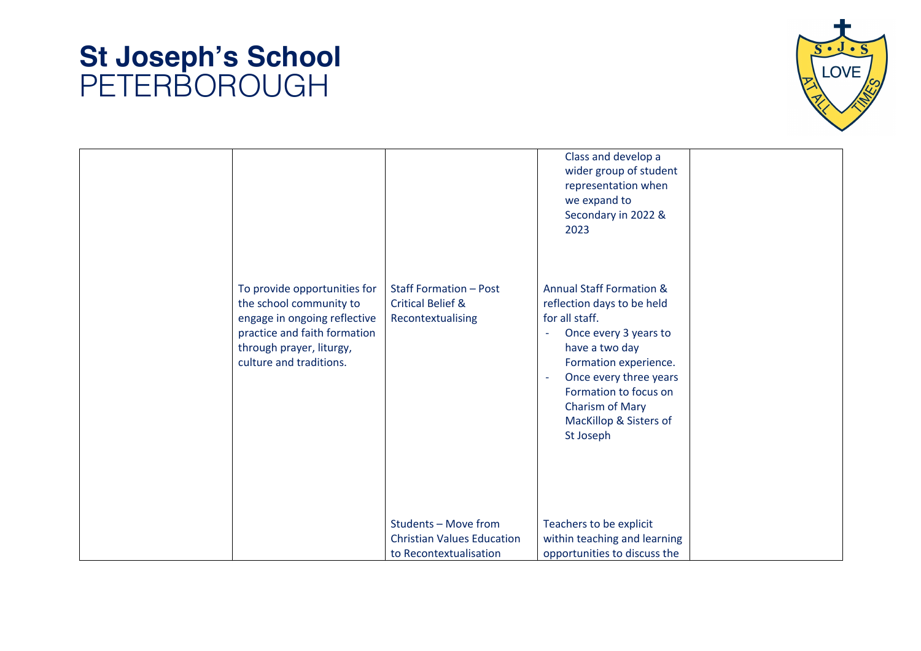

| To provide opportunities for<br>the school community to<br>engage in ongoing reflective<br>practice and faith formation<br>through prayer, liturgy,<br>culture and traditions. | <b>Staff Formation - Post</b><br><b>Critical Belief &amp;</b><br>Recontextualising  | Class and develop a<br>wider group of student<br>representation when<br>we expand to<br>Secondary in 2022 &<br>2023<br><b>Annual Staff Formation &amp;</b><br>reflection days to be held<br>for all staff.<br>Once every 3 years to<br>ä,<br>have a two day<br>Formation experience.<br>Once every three years<br>$\sim$<br>Formation to focus on<br>Charism of Mary<br>MacKillop & Sisters of<br>St Joseph |  |
|--------------------------------------------------------------------------------------------------------------------------------------------------------------------------------|-------------------------------------------------------------------------------------|-------------------------------------------------------------------------------------------------------------------------------------------------------------------------------------------------------------------------------------------------------------------------------------------------------------------------------------------------------------------------------------------------------------|--|
|                                                                                                                                                                                | Students - Move from<br><b>Christian Values Education</b><br>to Recontextualisation | Teachers to be explicit<br>within teaching and learning<br>opportunities to discuss the                                                                                                                                                                                                                                                                                                                     |  |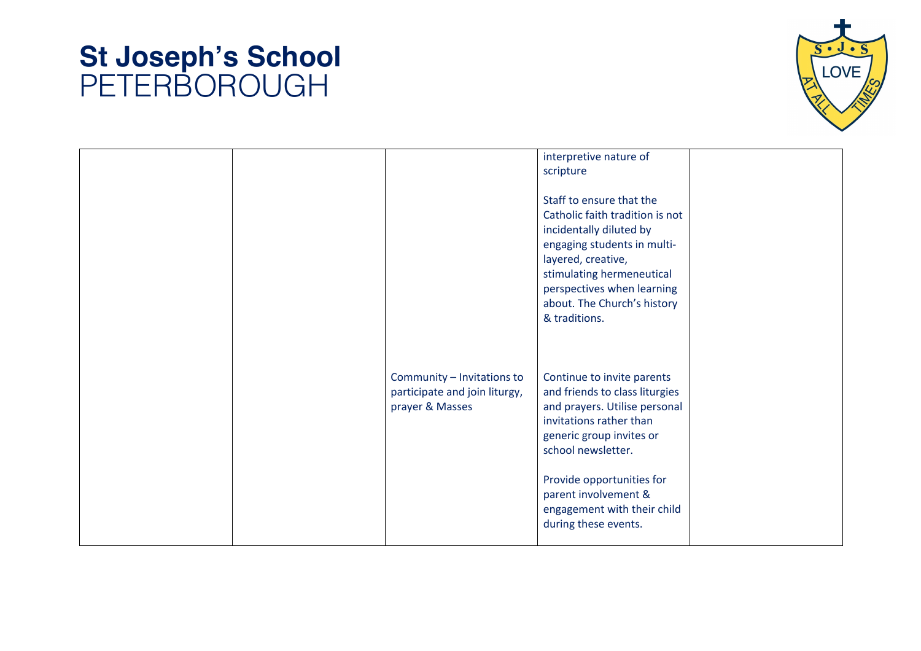

|  |                                                                                | interpretive nature of<br>scripture<br>Staff to ensure that the<br>Catholic faith tradition is not<br>incidentally diluted by<br>engaging students in multi-<br>layered, creative,                                                                                                    |  |
|--|--------------------------------------------------------------------------------|---------------------------------------------------------------------------------------------------------------------------------------------------------------------------------------------------------------------------------------------------------------------------------------|--|
|  | Community - Invitations to<br>participate and join liturgy,<br>prayer & Masses | stimulating hermeneutical<br>perspectives when learning<br>about. The Church's history<br>& traditions.<br>Continue to invite parents<br>and friends to class liturgies<br>and prayers. Utilise personal<br>invitations rather than<br>generic group invites or<br>school newsletter. |  |
|  |                                                                                | Provide opportunities for<br>parent involvement &<br>engagement with their child<br>during these events.                                                                                                                                                                              |  |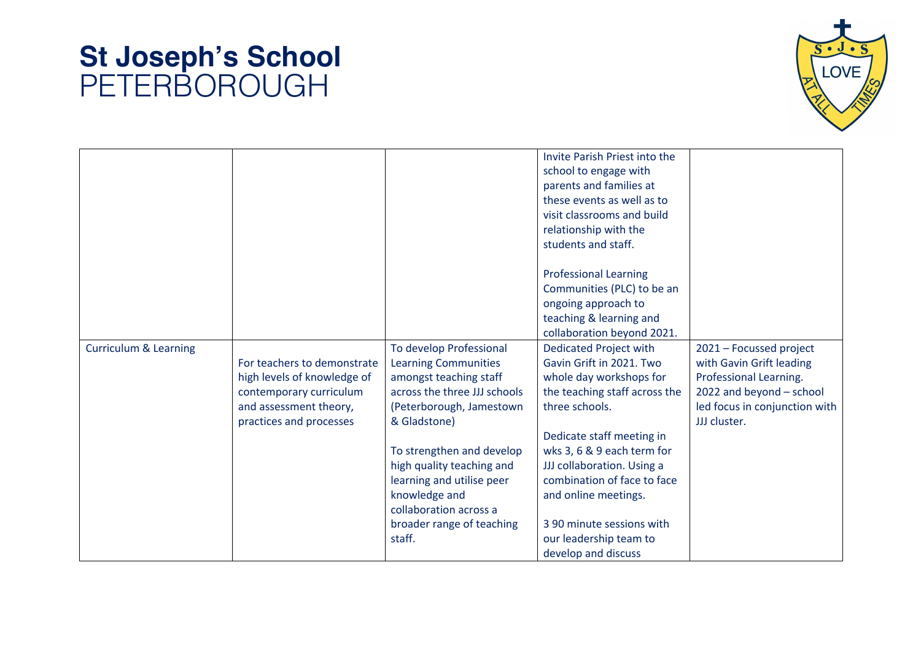

| <b>Curriculum &amp; Learning</b> | For teachers to demonstrate                                                                                 | To develop Professional<br><b>Learning Communities</b>                                                                                                                                    | Invite Parish Priest into the<br>school to engage with<br>parents and families at<br>these events as well as to<br>visit classrooms and build<br>relationship with the<br>students and staff.<br><b>Professional Learning</b><br>Communities (PLC) to be an<br>ongoing approach to<br>teaching & learning and<br>collaboration beyond 2021.<br><b>Dedicated Project with</b><br>Gavin Grift in 2021. Two | 2021 - Focussed project<br>with Gavin Grift leading<br>Professional Learning. |
|----------------------------------|-------------------------------------------------------------------------------------------------------------|-------------------------------------------------------------------------------------------------------------------------------------------------------------------------------------------|----------------------------------------------------------------------------------------------------------------------------------------------------------------------------------------------------------------------------------------------------------------------------------------------------------------------------------------------------------------------------------------------------------|-------------------------------------------------------------------------------|
|                                  | high levels of knowledge of<br>contemporary curriculum<br>and assessment theory,<br>practices and processes | amongst teaching staff<br>across the three JJJ schools<br>(Peterborough, Jamestown<br>& Gladstone)<br>To strengthen and develop<br>high quality teaching and<br>learning and utilise peer | whole day workshops for<br>the teaching staff across the<br>three schools.<br>Dedicate staff meeting in<br>wks 3, 6 & 9 each term for<br>JJJ collaboration. Using a<br>combination of face to face                                                                                                                                                                                                       | 2022 and beyond - school<br>led focus in conjunction with<br>JJJ cluster.     |
|                                  |                                                                                                             | knowledge and<br>collaboration across a<br>broader range of teaching<br>staff.                                                                                                            | and online meetings.<br>3 90 minute sessions with<br>our leadership team to<br>develop and discuss                                                                                                                                                                                                                                                                                                       |                                                                               |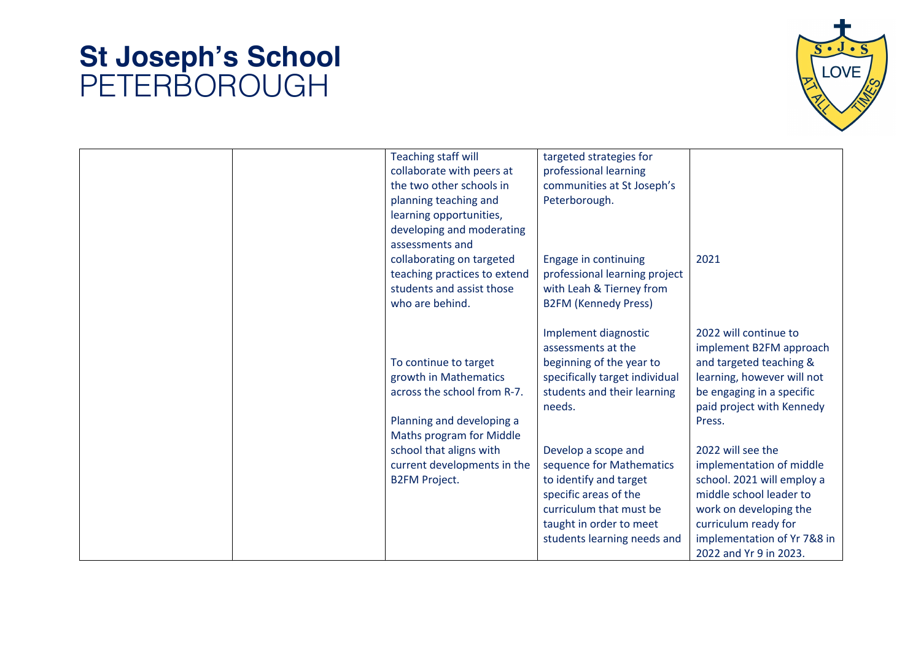

| <b>Teaching staff will</b>   | targeted strategies for        |                             |
|------------------------------|--------------------------------|-----------------------------|
| collaborate with peers at    | professional learning          |                             |
| the two other schools in     | communities at St Joseph's     |                             |
| planning teaching and        | Peterborough.                  |                             |
| learning opportunities,      |                                |                             |
| developing and moderating    |                                |                             |
| assessments and              |                                |                             |
| collaborating on targeted    | Engage in continuing           | 2021                        |
| teaching practices to extend | professional learning project  |                             |
| students and assist those    | with Leah & Tierney from       |                             |
| who are behind.              | <b>B2FM (Kennedy Press)</b>    |                             |
|                              |                                |                             |
|                              | Implement diagnostic           | 2022 will continue to       |
|                              | assessments at the             | implement B2FM approach     |
| To continue to target        | beginning of the year to       | and targeted teaching &     |
| growth in Mathematics        | specifically target individual | learning, however will not  |
| across the school from R-7.  | students and their learning    | be engaging in a specific   |
|                              | needs.                         | paid project with Kennedy   |
|                              |                                |                             |
| Planning and developing a    |                                | Press.                      |
| Maths program for Middle     |                                |                             |
| school that aligns with      | Develop a scope and            | 2022 will see the           |
| current developments in the  | sequence for Mathematics       | implementation of middle    |
| <b>B2FM Project.</b>         | to identify and target         | school. 2021 will employ a  |
|                              | specific areas of the          | middle school leader to     |
|                              | curriculum that must be        | work on developing the      |
|                              | taught in order to meet        | curriculum ready for        |
|                              | students learning needs and    | implementation of Yr 7&8 in |
|                              |                                | 2022 and Yr 9 in 2023.      |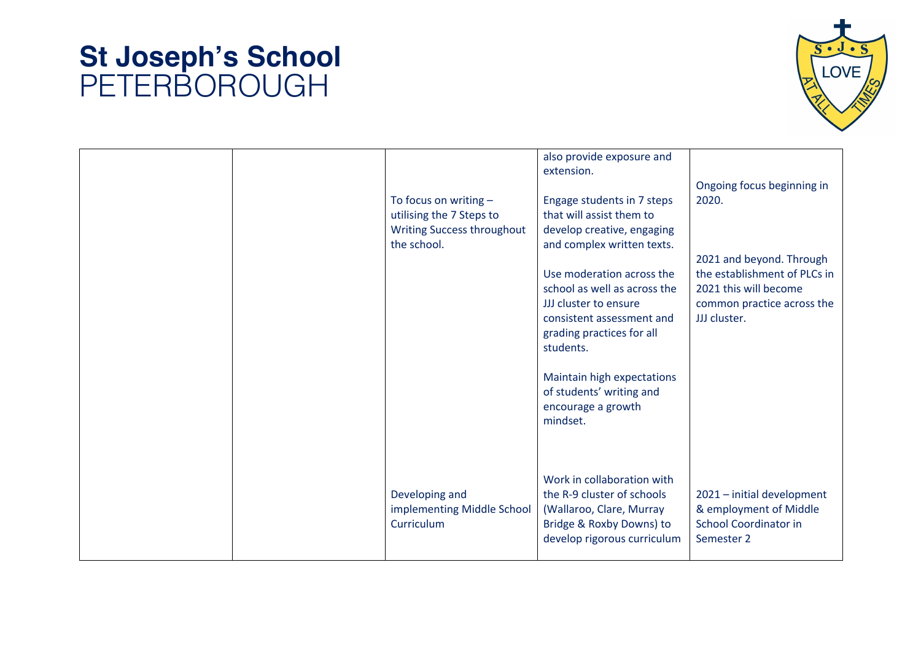

| To focus on writing $-$<br>utilising the 7 Steps to<br>Writing Success throughout<br>the school. | also provide exposure and<br>extension.<br>Engage students in 7 steps<br>that will assist them to<br>develop creative, engaging<br>and complex written texts.<br>Use moderation across the<br>school as well as across the<br>JJJ cluster to ensure<br>consistent assessment and<br>grading practices for all<br>students.<br>Maintain high expectations | Ongoing focus beginning in<br>2020.<br>2021 and beyond. Through<br>the establishment of PLCs in<br>2021 this will become<br>common practice across the<br>JJJ cluster. |
|--------------------------------------------------------------------------------------------------|----------------------------------------------------------------------------------------------------------------------------------------------------------------------------------------------------------------------------------------------------------------------------------------------------------------------------------------------------------|------------------------------------------------------------------------------------------------------------------------------------------------------------------------|
| Developing and<br>implementing Middle School<br>Curriculum                                       | of students' writing and<br>encourage a growth<br>mindset.<br>Work in collaboration with<br>the R-9 cluster of schools<br>(Wallaroo, Clare, Murray<br>Bridge & Roxby Downs) to<br>develop rigorous curriculum                                                                                                                                            | 2021 - initial development<br>& employment of Middle<br><b>School Coordinator in</b><br>Semester 2                                                                     |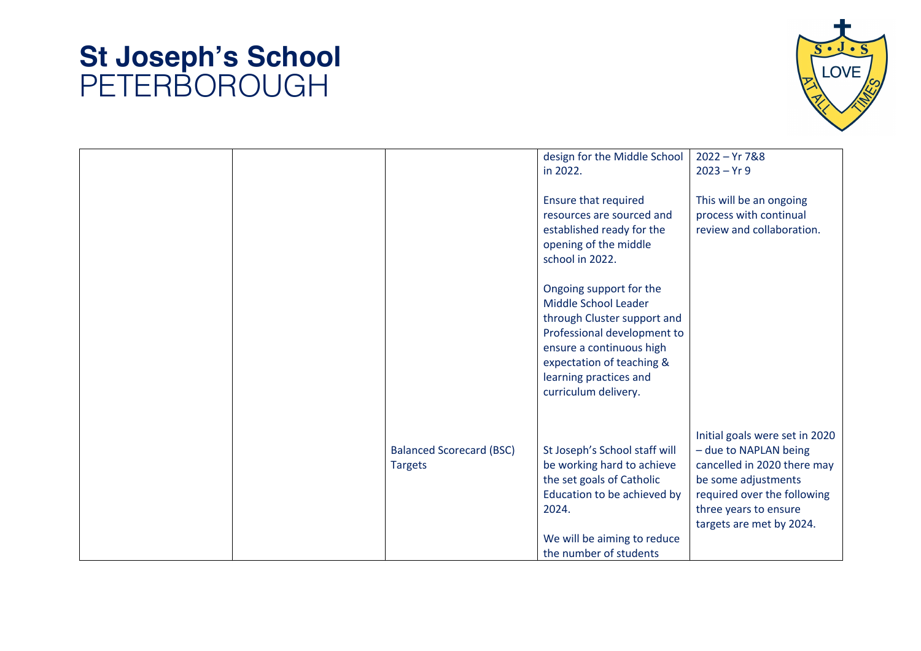

|                                 | design for the Middle School  | $2022 - Yr 7&88$               |
|---------------------------------|-------------------------------|--------------------------------|
|                                 | in 2022.                      | $2023 - Yr9$                   |
|                                 |                               |                                |
|                                 | <b>Ensure that required</b>   | This will be an ongoing        |
|                                 | resources are sourced and     | process with continual         |
|                                 | established ready for the     | review and collaboration.      |
|                                 | opening of the middle         |                                |
|                                 | school in 2022.               |                                |
|                                 |                               |                                |
|                                 |                               |                                |
|                                 | Ongoing support for the       |                                |
|                                 | Middle School Leader          |                                |
|                                 | through Cluster support and   |                                |
|                                 | Professional development to   |                                |
|                                 | ensure a continuous high      |                                |
|                                 | expectation of teaching &     |                                |
|                                 | learning practices and        |                                |
|                                 | curriculum delivery.          |                                |
|                                 |                               |                                |
|                                 |                               |                                |
|                                 |                               |                                |
|                                 |                               | Initial goals were set in 2020 |
| <b>Balanced Scorecard (BSC)</b> | St Joseph's School staff will | - due to NAPLAN being          |
| <b>Targets</b>                  | be working hard to achieve    | cancelled in 2020 there may    |
|                                 | the set goals of Catholic     | be some adjustments            |
|                                 | Education to be achieved by   | required over the following    |
|                                 | 2024.                         | three years to ensure          |
|                                 |                               |                                |
|                                 |                               | targets are met by 2024.       |
|                                 | We will be aiming to reduce   |                                |
|                                 | the number of students        |                                |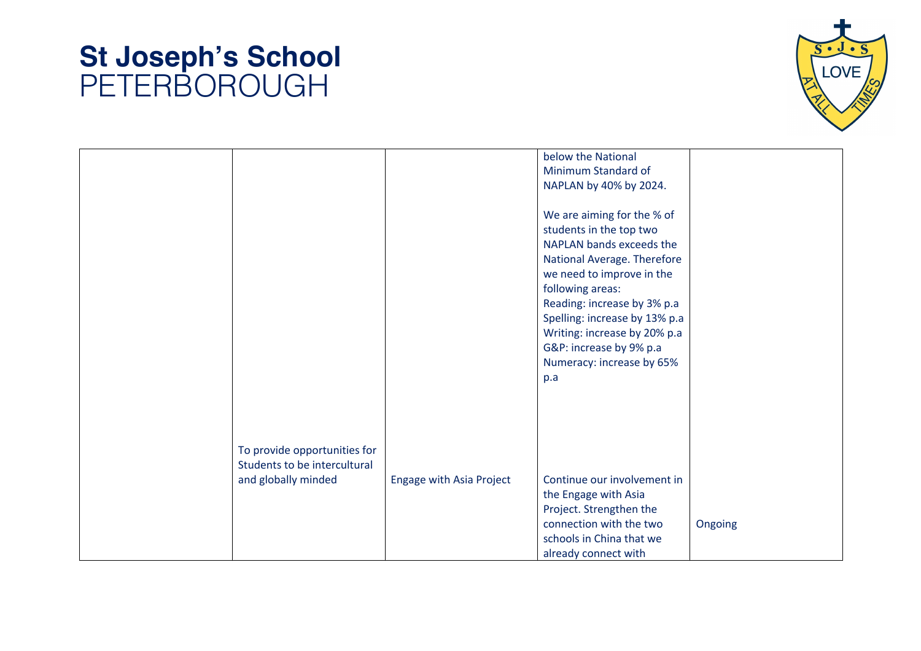

|                              |                                 | below the National            |         |
|------------------------------|---------------------------------|-------------------------------|---------|
|                              |                                 | Minimum Standard of           |         |
|                              |                                 | NAPLAN by 40% by 2024.        |         |
|                              |                                 |                               |         |
|                              |                                 | We are aiming for the % of    |         |
|                              |                                 | students in the top two       |         |
|                              |                                 | NAPLAN bands exceeds the      |         |
|                              |                                 | National Average. Therefore   |         |
|                              |                                 | we need to improve in the     |         |
|                              |                                 | following areas:              |         |
|                              |                                 | Reading: increase by 3% p.a   |         |
|                              |                                 |                               |         |
|                              |                                 | Spelling: increase by 13% p.a |         |
|                              |                                 | Writing: increase by 20% p.a  |         |
|                              |                                 | G&P: increase by 9% p.a       |         |
|                              |                                 | Numeracy: increase by 65%     |         |
|                              |                                 | p.a                           |         |
|                              |                                 |                               |         |
|                              |                                 |                               |         |
|                              |                                 |                               |         |
|                              |                                 |                               |         |
| To provide opportunities for |                                 |                               |         |
| Students to be intercultural |                                 |                               |         |
| and globally minded          | <b>Engage with Asia Project</b> | Continue our involvement in   |         |
|                              |                                 | the Engage with Asia          |         |
|                              |                                 | Project. Strengthen the       |         |
|                              |                                 | connection with the two       | Ongoing |
|                              |                                 | schools in China that we      |         |
|                              |                                 |                               |         |
|                              |                                 | already connect with          |         |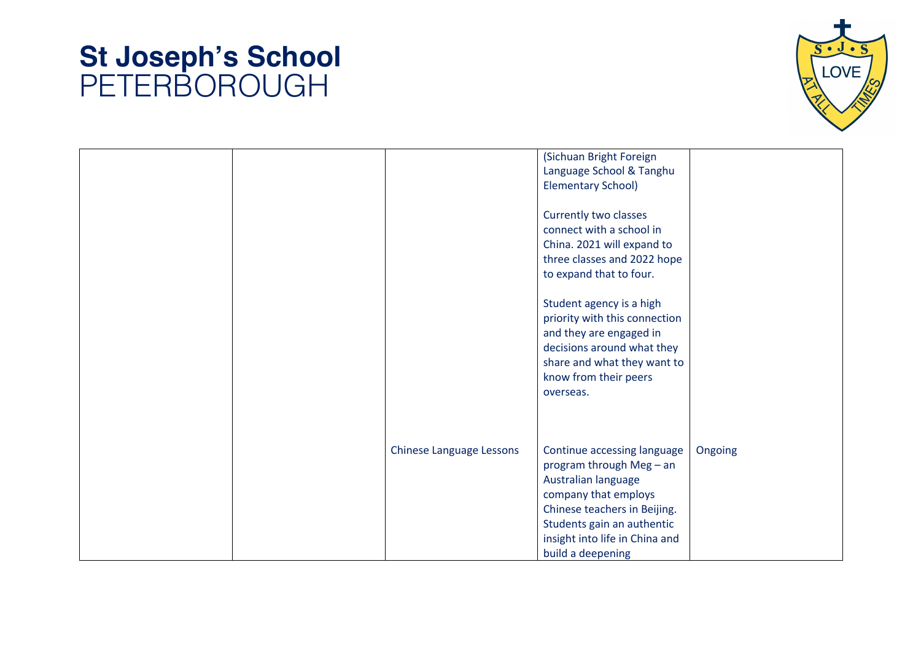

|                                 | (Sichuan Bright Foreign        |         |
|---------------------------------|--------------------------------|---------|
|                                 | Language School & Tanghu       |         |
|                                 | <b>Elementary School)</b>      |         |
|                                 |                                |         |
|                                 | Currently two classes          |         |
|                                 | connect with a school in       |         |
|                                 | China. 2021 will expand to     |         |
|                                 | three classes and 2022 hope    |         |
|                                 |                                |         |
|                                 | to expand that to four.        |         |
|                                 |                                |         |
|                                 | Student agency is a high       |         |
|                                 | priority with this connection  |         |
|                                 | and they are engaged in        |         |
|                                 | decisions around what they     |         |
|                                 | share and what they want to    |         |
|                                 | know from their peers          |         |
|                                 | overseas.                      |         |
|                                 |                                |         |
|                                 |                                |         |
|                                 |                                |         |
|                                 |                                |         |
| <b>Chinese Language Lessons</b> | Continue accessing language    | Ongoing |
|                                 | program through Meg - an       |         |
|                                 | Australian language            |         |
|                                 | company that employs           |         |
|                                 | Chinese teachers in Beijing.   |         |
|                                 | Students gain an authentic     |         |
|                                 | insight into life in China and |         |
|                                 | build a deepening              |         |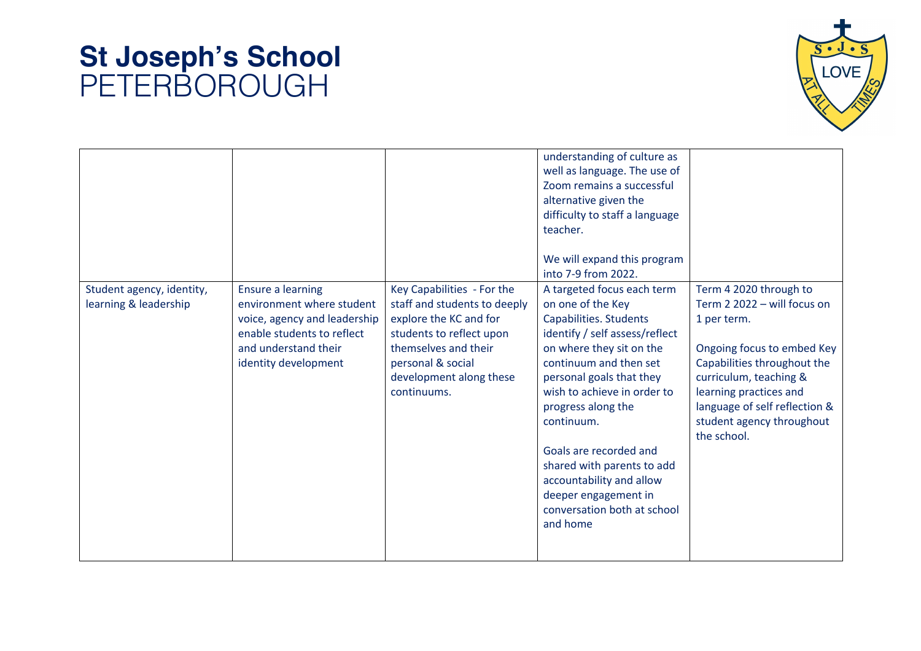

| Student agency, identity,<br>learning & leadership | <b>Ensure a learning</b><br>environment where student<br>voice, agency and leadership<br>enable students to reflect<br>and understand their<br>identity development | Key Capabilities - For the<br>staff and students to deeply<br>explore the KC and for<br>students to reflect upon<br>themselves and their<br>personal & social<br>development along these<br>continuums. | understanding of culture as<br>well as language. The use of<br>Zoom remains a successful<br>alternative given the<br>difficulty to staff a language<br>teacher.<br>We will expand this program<br>into 7-9 from 2022.<br>A targeted focus each term<br>on one of the Key<br>Capabilities. Students<br>identify / self assess/reflect<br>on where they sit on the<br>continuum and then set<br>personal goals that they<br>wish to achieve in order to<br>progress along the<br>continuum.<br>Goals are recorded and<br>shared with parents to add<br>accountability and allow<br>deeper engagement in<br>conversation both at school<br>and home | Term 4 2020 through to<br>Term 2 2022 - will focus on<br>1 per term.<br>Ongoing focus to embed Key<br>Capabilities throughout the<br>curriculum, teaching &<br>learning practices and<br>language of self reflection &<br>student agency throughout<br>the school. |
|----------------------------------------------------|---------------------------------------------------------------------------------------------------------------------------------------------------------------------|---------------------------------------------------------------------------------------------------------------------------------------------------------------------------------------------------------|--------------------------------------------------------------------------------------------------------------------------------------------------------------------------------------------------------------------------------------------------------------------------------------------------------------------------------------------------------------------------------------------------------------------------------------------------------------------------------------------------------------------------------------------------------------------------------------------------------------------------------------------------|--------------------------------------------------------------------------------------------------------------------------------------------------------------------------------------------------------------------------------------------------------------------|
|----------------------------------------------------|---------------------------------------------------------------------------------------------------------------------------------------------------------------------|---------------------------------------------------------------------------------------------------------------------------------------------------------------------------------------------------------|--------------------------------------------------------------------------------------------------------------------------------------------------------------------------------------------------------------------------------------------------------------------------------------------------------------------------------------------------------------------------------------------------------------------------------------------------------------------------------------------------------------------------------------------------------------------------------------------------------------------------------------------------|--------------------------------------------------------------------------------------------------------------------------------------------------------------------------------------------------------------------------------------------------------------------|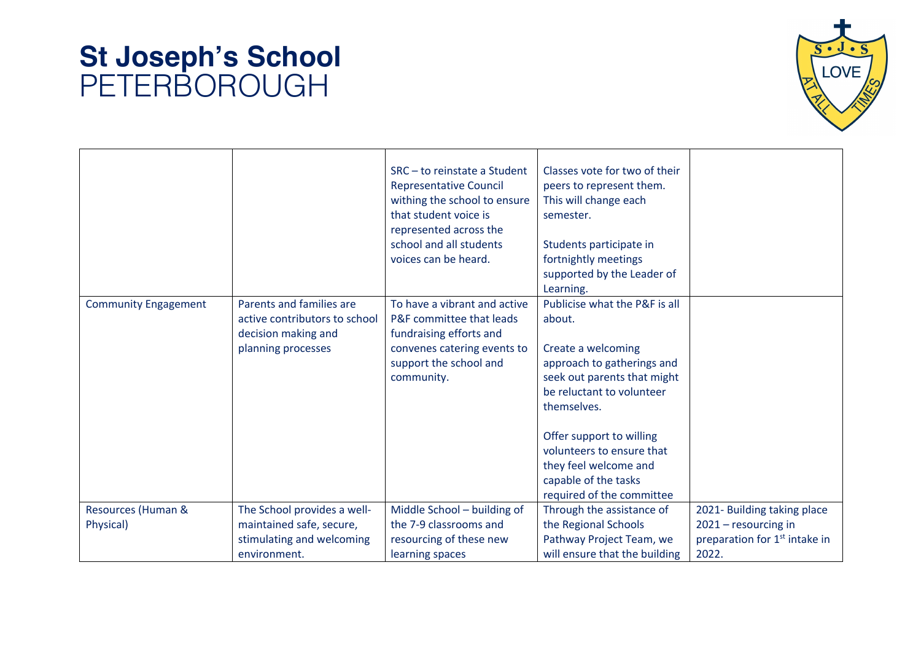

|                             |                                                                                                        | SRC-to reinstate a Student<br><b>Representative Council</b><br>withing the school to ensure<br>that student voice is<br>represented across the<br>school and all students<br>voices can be heard. | Classes vote for two of their<br>peers to represent them.<br>This will change each<br>semester.<br>Students participate in<br>fortnightly meetings<br>supported by the Leader of<br>Learning.                                                                                                                 |                                           |
|-----------------------------|--------------------------------------------------------------------------------------------------------|---------------------------------------------------------------------------------------------------------------------------------------------------------------------------------------------------|---------------------------------------------------------------------------------------------------------------------------------------------------------------------------------------------------------------------------------------------------------------------------------------------------------------|-------------------------------------------|
| <b>Community Engagement</b> | Parents and families are<br>active contributors to school<br>decision making and<br>planning processes | To have a vibrant and active<br>P&F committee that leads<br>fundraising efforts and<br>convenes catering events to<br>support the school and<br>community.                                        | Publicise what the P&F is all<br>about.<br>Create a welcoming<br>approach to gatherings and<br>seek out parents that might<br>be reluctant to volunteer<br>themselves.<br>Offer support to willing<br>volunteers to ensure that<br>they feel welcome and<br>capable of the tasks<br>required of the committee |                                           |
| Resources (Human &          | The School provides a well-                                                                            | Middle School - building of                                                                                                                                                                       | Through the assistance of                                                                                                                                                                                                                                                                                     | 2021- Building taking place               |
| Physical)                   | maintained safe, secure,                                                                               | the 7-9 classrooms and                                                                                                                                                                            | the Regional Schools                                                                                                                                                                                                                                                                                          | 2021 - resourcing in                      |
|                             | stimulating and welcoming                                                                              | resourcing of these new                                                                                                                                                                           | Pathway Project Team, we                                                                                                                                                                                                                                                                                      | preparation for 1 <sup>st</sup> intake in |
|                             | environment.                                                                                           | learning spaces                                                                                                                                                                                   | will ensure that the building                                                                                                                                                                                                                                                                                 | 2022.                                     |